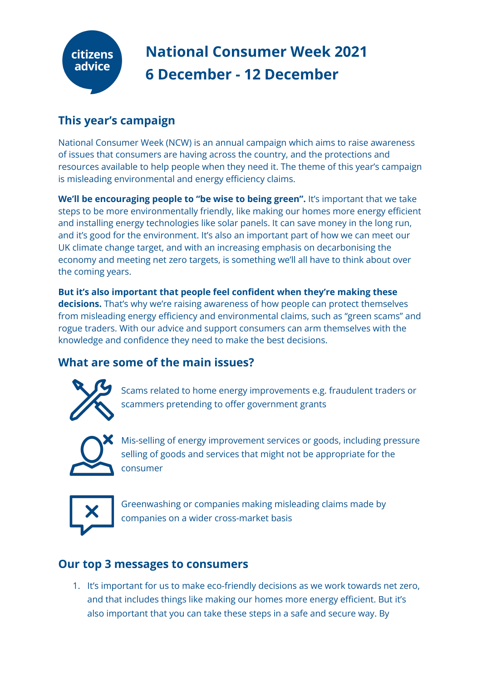

# **This year's campaign**

National Consumer Week (NCW) is an annual campaign which aims to raise awareness of issues that consumers are having across the country, and the protections and resources available to help people when they need it. The theme of this year's campaign is misleading environmental and energy efficiency claims.

**We'll be encouraging people to "be wise to being green".** It's important that we take steps to be more environmentally friendly, like making our homes more energy efficient and installing energy technologies like solar panels. It can save money in the long run, and it's good for the environment. It's also an important part of how we can meet our UK climate change target, and with an increasing emphasis on decarbonising the economy and meeting net zero targets, is something we'll all have to think about over the coming years.

**But it's also important that people feel confident when they're making these decisions.** That's why we're raising awareness of how people can protect themselves from misleading energy efficiency and environmental claims, such as "green scams" and rogue traders. With our advice and support consumers can arm themselves with the knowledge and confidence they need to make the best decisions.

# **What are some of the main issues?**



Scams related to home energy improvements e.g. fraudulent traders or scammers pretending to offer government grants



Mis-selling of energy improvement services or goods, including pressure selling of goods and services that might not be appropriate for the consumer



Greenwashing or companies making misleading claims made by companies on a wider cross-market basis

# **Our top 3 messages to consumers**

1. It's important for us to make eco-friendly decisions as we work towards net zero, and that includes things like making our homes more energy efficient. But it's also important that you can take these steps in a safe and secure way. By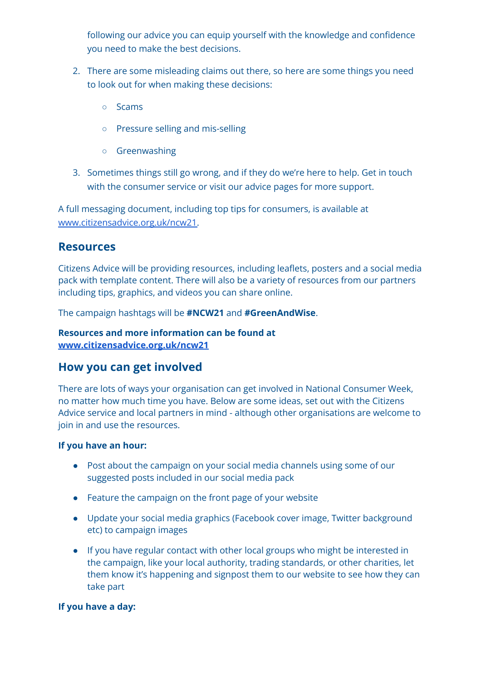following our advice you can equip yourself with the knowledge and confidence you need to make the best decisions.

- 2. There are some misleading claims out there, so here are some things you need to look out for when making these decisions:
	- Scams
	- Pressure selling and mis-selling
	- Greenwashing
- 3. Sometimes things still go wrong, and if they do we're here to help. Get in touch with the consumer service or visit our advice pages for more support.

A full messaging document, including top tips for consumers, is available at [www.citizensadvice.org.uk/ncw21.](http://www.citizensadvice.org.uk/ncw21)

### **Resources**

Citizens Advice will be providing resources, including leaflets, posters and a social media pack with template content. There will also be a variety of resources from our partners including tips, graphics, and videos you can share online.

The campaign hashtags will be **#NCW21** and **#GreenAndWise**.

#### **Resources and more information can be found at [www.citizensadvice.org.uk/ncw21](https://www.citizensadvice.org.uk/ncw20/)**

## **How you can get involved**

There are lots of ways your organisation can get involved in National Consumer Week, no matter how much time you have. Below are some ideas, set out with the Citizens Advice service and local partners in mind - although other organisations are welcome to join in and use the resources.

#### **If you have an hour:**

- Post about the campaign on your social media channels using some of our suggested posts included in our social media pack
- Feature the campaign on the front page of your website
- Update your social media graphics (Facebook cover image, Twitter background etc) to campaign images
- If you have regular contact with other local groups who might be interested in the campaign, like your local authority, trading standards, or other charities, let them know it's happening and signpost them to our website to see how they can take part

### **If you have a day:**